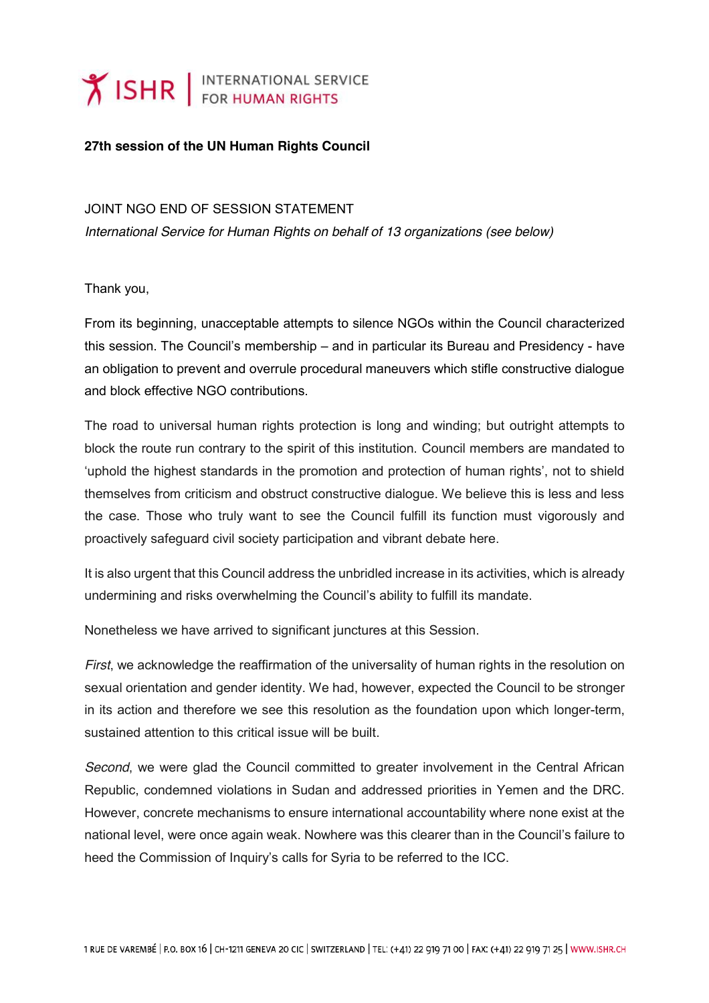## **Y ISHR** FOR HUMAN RIGHTS

## **27th session of the UN Human Rights Council**

JOINT NGO END OF SESSION STATEMENT

*International Service for Human Rights on behalf of 13 organizations (see below)*

Thank you,

From its beginning, unacceptable attempts to silence NGOs within the Council characterized this session. The Council's membership – and in particular its Bureau and Presidency - have an obligation to prevent and overrule procedural maneuvers which stifle constructive dialogue and block effective NGO contributions.

The road to universal human rights protection is long and winding; but outright attempts to block the route run contrary to the spirit of this institution. Council members are mandated to 'uphold the highest standards in the promotion and protection of human rights', not to shield themselves from criticism and obstruct constructive dialogue. We believe this is less and less the case. Those who truly want to see the Council fulfill its function must vigorously and proactively safeguard civil society participation and vibrant debate here.

It is also urgent that this Council address the unbridled increase in its activities, which is already undermining and risks overwhelming the Council's ability to fulfill its mandate.

Nonetheless we have arrived to significant junctures at this Session.

*First*, we acknowledge the reaffirmation of the universality of human rights in the resolution on sexual orientation and gender identity. We had, however, expected the Council to be stronger in its action and therefore we see this resolution as the foundation upon which longer-term, sustained attention to this critical issue will be built.

*Second*, we were glad the Council committed to greater involvement in the Central African Republic, condemned violations in Sudan and addressed priorities in Yemen and the DRC. However, concrete mechanisms to ensure international accountability where none exist at the national level, were once again weak. Nowhere was this clearer than in the Council's failure to heed the Commission of Inquiry's calls for Syria to be referred to the ICC.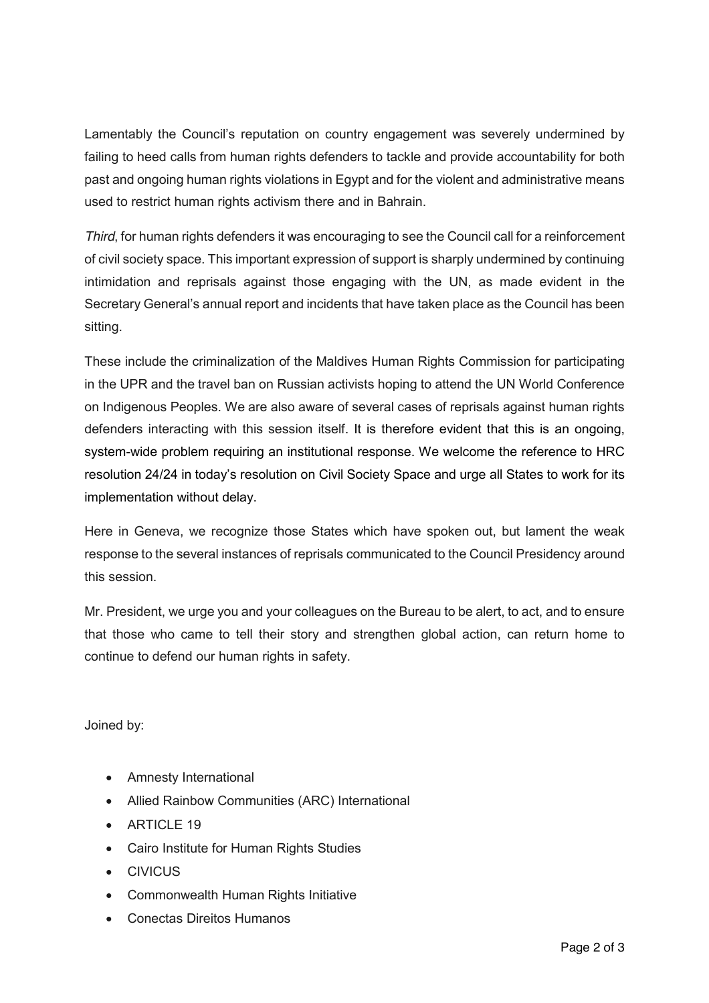Lamentably the Council's reputation on country engagement was severely undermined by failing to heed calls from human rights defenders to tackle and provide accountability for both past and ongoing human rights violations in Egypt and for the violent and administrative means used to restrict human rights activism there and in Bahrain.

*Third*, for human rights defenders it was encouraging to see the Council call for a reinforcement of civil society space. This important expression of support is sharply undermined by continuing intimidation and reprisals against those engaging with the UN, as made evident in the Secretary General's annual report and incidents that have taken place as the Council has been sitting.

These include the criminalization of the Maldives Human Rights Commission for participating in the UPR and the travel ban on Russian activists hoping to attend the UN World Conference on Indigenous Peoples. We are also aware of several cases of reprisals against human rights defenders interacting with this session itself. It is therefore evident that this is an ongoing, system-wide problem requiring an institutional response. We welcome the reference to HRC resolution 24/24 in today's resolution on Civil Society Space and urge all States to work for its implementation without delay.

Here in Geneva, we recognize those States which have spoken out, but lament the weak response to the several instances of reprisals communicated to the Council Presidency around this session.

Mr. President, we urge you and your colleagues on the Bureau to be alert, to act, and to ensure that those who came to tell their story and strengthen global action, can return home to continue to defend our human rights in safety.

Joined by:

- Amnesty International
- Allied Rainbow Communities (ARC) International
- ARTICLE 19
- Cairo Institute for Human Rights Studies
- CIVICUS
- Commonwealth Human Rights Initiative
- Conectas Direitos Humanos